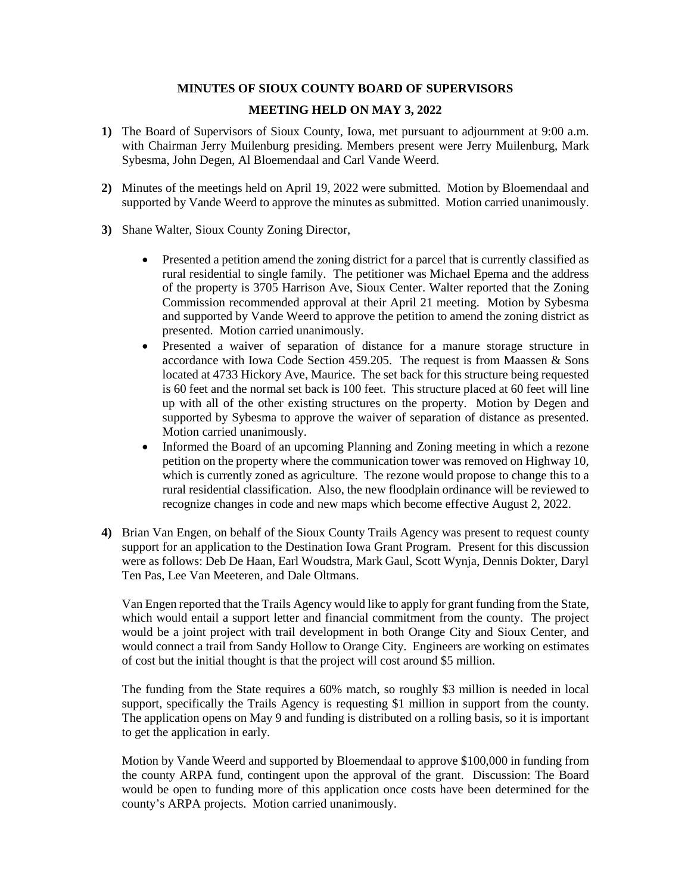## **MINUTES OF SIOUX COUNTY BOARD OF SUPERVISORS**

## **MEETING HELD ON MAY 3, 2022**

- **1)** The Board of Supervisors of Sioux County, Iowa, met pursuant to adjournment at 9:00 a.m. with Chairman Jerry Muilenburg presiding. Members present were Jerry Muilenburg, Mark Sybesma, John Degen, Al Bloemendaal and Carl Vande Weerd.
- **2)** Minutes of the meetings held on April 19, 2022 were submitted. Motion by Bloemendaal and supported by Vande Weerd to approve the minutes as submitted. Motion carried unanimously.
- **3)** Shane Walter, Sioux County Zoning Director,
	- Presented a petition amend the zoning district for a parcel that is currently classified as rural residential to single family. The petitioner was Michael Epema and the address of the property is 3705 Harrison Ave, Sioux Center. Walter reported that the Zoning Commission recommended approval at their April 21 meeting. Motion by Sybesma and supported by Vande Weerd to approve the petition to amend the zoning district as presented. Motion carried unanimously.
	- Presented a waiver of separation of distance for a manure storage structure in accordance with Iowa Code Section 459.205. The request is from Maassen & Sons located at 4733 Hickory Ave, Maurice. The set back for this structure being requested is 60 feet and the normal set back is 100 feet. This structure placed at 60 feet will line up with all of the other existing structures on the property. Motion by Degen and supported by Sybesma to approve the waiver of separation of distance as presented. Motion carried unanimously.
	- Informed the Board of an upcoming Planning and Zoning meeting in which a rezone petition on the property where the communication tower was removed on Highway 10, which is currently zoned as agriculture. The rezone would propose to change this to a rural residential classification. Also, the new floodplain ordinance will be reviewed to recognize changes in code and new maps which become effective August 2, 2022.
- **4)** Brian Van Engen, on behalf of the Sioux County Trails Agency was present to request county support for an application to the Destination Iowa Grant Program. Present for this discussion were as follows: Deb De Haan, Earl Woudstra, Mark Gaul, Scott Wynja, Dennis Dokter, Daryl Ten Pas, Lee Van Meeteren, and Dale Oltmans.

Van Engen reported that the Trails Agency would like to apply for grant funding from the State, which would entail a support letter and financial commitment from the county. The project would be a joint project with trail development in both Orange City and Sioux Center, and would connect a trail from Sandy Hollow to Orange City. Engineers are working on estimates of cost but the initial thought is that the project will cost around \$5 million.

The funding from the State requires a 60% match, so roughly \$3 million is needed in local support, specifically the Trails Agency is requesting \$1 million in support from the county. The application opens on May 9 and funding is distributed on a rolling basis, so it is important to get the application in early.

Motion by Vande Weerd and supported by Bloemendaal to approve \$100,000 in funding from the county ARPA fund, contingent upon the approval of the grant. Discussion: The Board would be open to funding more of this application once costs have been determined for the county's ARPA projects. Motion carried unanimously.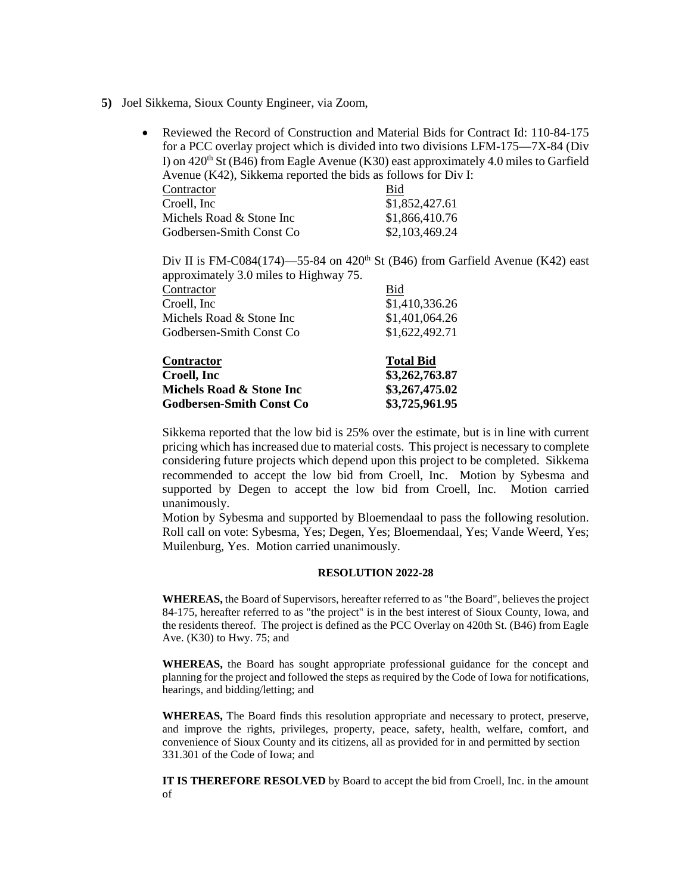- **5)** Joel Sikkema, Sioux County Engineer, via Zoom,
	- Reviewed the Record of Construction and Material Bids for Contract Id: 110-84-175 for a PCC overlay project which is divided into two divisions LFM-175—7X-84 (Div I) on  $420<sup>th</sup>$  St (B46) from Eagle Avenue (K30) east approximately 4.0 miles to Garfield Avenue (K42), Sikkema reported the bids as follows for Div I: Execution Contractor Bid<br>
	Croell, Inc 31.8  $\overline{$}1852427.61$

| CIUCII, IIIU             | 0.1,022,721.01 |
|--------------------------|----------------|
| Michels Road & Stone Inc | \$1,866,410.76 |
| Godbersen-Smith Const Co | \$2,103,469.24 |

Div II is FM-C084(174)—55-84 on 420<sup>th</sup> St (B46) from Garfield Avenue (K42) east approximately 3.0 miles to Highway 75.

| Contractor                      | Bid              |
|---------------------------------|------------------|
| Croell, Inc.                    | \$1,410,336.26   |
| Michels Road & Stone Inc        | \$1,401,064.26   |
| Godbersen-Smith Const Co        | \$1,622,492.71   |
| Contractor                      | <b>Total Bid</b> |
| Croell, Inc.                    | \$3,262,763.87   |
| Michels Road & Stone Inc        | \$3,267,475.02   |
| <b>Godbersen-Smith Const Co</b> | \$3,725,961.95   |

Sikkema reported that the low bid is 25% over the estimate, but is in line with current pricing which has increased due to material costs. This project is necessary to complete considering future projects which depend upon this project to be completed. Sikkema recommended to accept the low bid from Croell, Inc. Motion by Sybesma and supported by Degen to accept the low bid from Croell, Inc. Motion carried unanimously.

Motion by Sybesma and supported by Bloemendaal to pass the following resolution. Roll call on vote: Sybesma, Yes; Degen, Yes; Bloemendaal, Yes; Vande Weerd, Yes; Muilenburg, Yes. Motion carried unanimously.

## **RESOLUTION 2022-28**

**WHEREAS,** the Board of Supervisors, hereafter referred to as "the Board", believes the project 84-175, hereafter referred to as "the project" is in the best interest of Sioux County, Iowa, and the residents thereof. The project is defined as the PCC Overlay on 420th St. (B46) from Eagle Ave. (K30) to Hwy. 75; and

**WHEREAS,** the Board has sought appropriate professional guidance for the concept and planning for the project and followed the steps as required by the Code of Iowa for notifications, hearings, and bidding/letting; and

**WHEREAS,** The Board finds this resolution appropriate and necessary to protect, preserve, and improve the rights, privileges, property, peace, safety, health, welfare, comfort, and convenience of Sioux County and its citizens, all as provided for in and permitted by section 331.301 of the Code of Iowa; and

**IT IS THEREFORE RESOLVED** by Board to accept the bid from Croell, Inc. in the amount of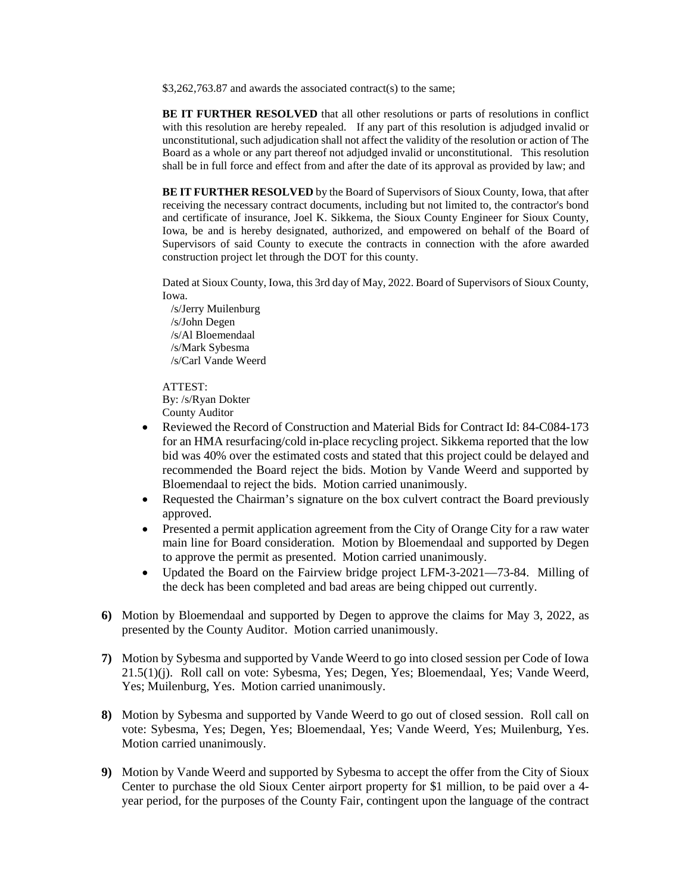\$3,262,763.87 and awards the associated contract(s) to the same;

**BE IT FURTHER RESOLVED** that all other resolutions or parts of resolutions in conflict with this resolution are hereby repealed. If any part of this resolution is adjudged invalid or unconstitutional, such adjudication shall not affect the validity of the resolution or action of The Board as a whole or any part thereof not adjudged invalid or unconstitutional. This resolution shall be in full force and effect from and after the date of its approval as provided by law; and

**BE IT FURTHER RESOLVED** by the Board of Supervisors of Sioux County, Iowa, that after receiving the necessary contract documents, including but not limited to, the contractor's bond and certificate of insurance, Joel K. Sikkema, the Sioux County Engineer for Sioux County, Iowa, be and is hereby designated, authorized, and empowered on behalf of the Board of Supervisors of said County to execute the contracts in connection with the afore awarded construction project let through the DOT for this county.

Dated at Sioux County, Iowa, this 3rd day of May, 2022. Board of Supervisors of Sioux County, Iowa.

 /s/Jerry Muilenburg /s/John Degen /s/Al Bloemendaal /s/Mark Sybesma /s/Carl Vande Weerd

ATTEST:

By: /s/Ryan Dokter

County Auditor

- Reviewed the Record of Construction and Material Bids for Contract Id: 84-C084-173 for an HMA resurfacing/cold in-place recycling project. Sikkema reported that the low bid was 40% over the estimated costs and stated that this project could be delayed and recommended the Board reject the bids. Motion by Vande Weerd and supported by Bloemendaal to reject the bids. Motion carried unanimously.
- Requested the Chairman's signature on the box culvert contract the Board previously approved.
- Presented a permit application agreement from the City of Orange City for a raw water main line for Board consideration. Motion by Bloemendaal and supported by Degen to approve the permit as presented. Motion carried unanimously.
- Updated the Board on the Fairview bridge project LFM-3-2021—73-84. Milling of the deck has been completed and bad areas are being chipped out currently.
- **6)** Motion by Bloemendaal and supported by Degen to approve the claims for May 3, 2022, as presented by the County Auditor. Motion carried unanimously.
- **7)** Motion by Sybesma and supported by Vande Weerd to go into closed session per Code of Iowa 21.5(1)(j). Roll call on vote: Sybesma, Yes; Degen, Yes; Bloemendaal, Yes; Vande Weerd, Yes; Muilenburg, Yes. Motion carried unanimously.
- **8)** Motion by Sybesma and supported by Vande Weerd to go out of closed session. Roll call on vote: Sybesma, Yes; Degen, Yes; Bloemendaal, Yes; Vande Weerd, Yes; Muilenburg, Yes. Motion carried unanimously.
- **9)** Motion by Vande Weerd and supported by Sybesma to accept the offer from the City of Sioux Center to purchase the old Sioux Center airport property for \$1 million, to be paid over a 4 year period, for the purposes of the County Fair, contingent upon the language of the contract